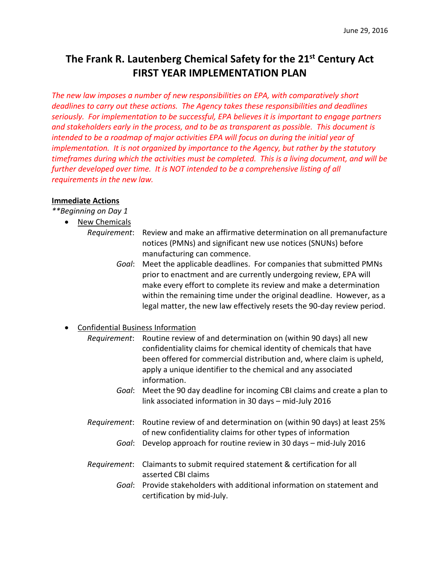# **The Frank R. Lautenberg Chemical Safety for the 21st Century Act FIRST YEAR IMPLEMENTATION PLAN**

*The new law imposes a number of new responsibilities on EPA, with comparatively short deadlines to carry out these actions. The Agency takes these responsibilities and deadlines seriously. For implementation to be successful, EPA believes it is important to engage partners and stakeholders early in the process, and to be as transparent as possible. This document is intended to be a roadmap of major activities EPA will focus on during the initial year of implementation. It is not organized by importance to the Agency, but rather by the statutory timeframes during which the activities must be completed. This is a living document, and will be further developed over time. It is NOT intended to be a comprehensive listing of all requirements in the new law.*

#### **Immediate Actions**

*\*\*Beginning on Day 1*

- New Chemicals
	- *Requirement*: Review and make an affirmative determination on all premanufacture notices (PMNs) and significant new use notices (SNUNs) before manufacturing can commence.
		- *Goal*: Meet the applicable deadlines. For companies that submitted PMNs prior to enactment and are currently undergoing review, EPA will make every effort to complete its review and make a determination within the remaining time under the original deadline. However, as a legal matter, the new law effectively resets the 90-day review period.

## • Confidential Business Information

- *Requirement*: Routine review of and determination on (within 90 days) all new confidentiality claims for chemical identity of chemicals that have been offered for commercial distribution and, where claim is upheld, apply a unique identifier to the chemical and any associated information.
	- *Goal*: Meet the 90 day deadline for incoming CBI claims and create a plan to link associated information in 30 days – mid-July 2016
- *Requirement*: Routine review of and determination on (within 90 days) at least 25% of new confidentiality claims for other types of information
	- *Goal*: Develop approach for routine review in 30 days mid-July 2016
- *Requirement*: Claimants to submit required statement & certification for all asserted CBI claims
	- *Goal*: Provide stakeholders with additional information on statement and certification by mid-July.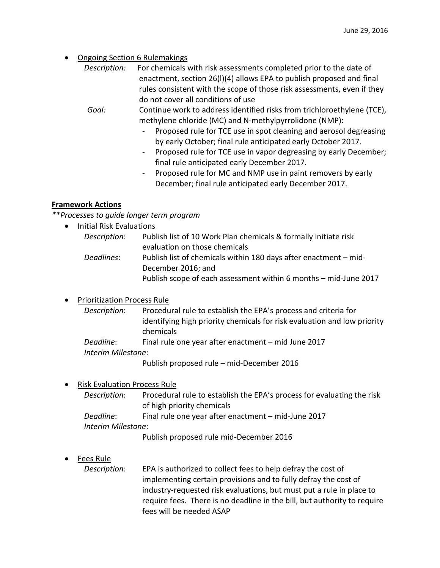**Ongoing Section 6 Rulemakings** 

| Description: | For chemicals with risk assessments completed prior to the date of      |
|--------------|-------------------------------------------------------------------------|
|              | enactment, section 26(I)(4) allows EPA to publish proposed and final    |
|              | rules consistent with the scope of those risk assessments, even if they |
|              | do not cover all conditions of use                                      |

*Goal:* Continue work to address identified risks from trichloroethylene (TCE), methylene chloride (MC) and N-methylpyrrolidone (NMP):

- *-* Proposed rule for TCE use in spot cleaning and aerosol degreasing by early October; final rule anticipated early October 2017.
- *-* Proposed rule for TCE use in vapor degreasing by early December; final rule anticipated early December 2017.
- *-* Proposed rule for MC and NMP use in paint removers by early December; final rule anticipated early December 2017.

## **Framework Actions**

*\*\*Processes to guide longer term program*

• Initial Risk Evaluations

| Description: | Publish list of 10 Work Plan chemicals & formally initiate risk  |
|--------------|------------------------------------------------------------------|
|              | evaluation on those chemicals                                    |
| Deadlines:   | Publish list of chemicals within 180 days after enactment – mid- |
|              | December 2016; and                                               |
|              | Publish scope of each assessment within 6 months - mid-June 2017 |

## • Prioritization Process Rule

*Description*: Procedural rule to establish the EPA's process and criteria for identifying high priority chemicals for risk evaluation and low priority chemicals

*Deadline*: Final rule one year after enactment – mid June 2017

*Interim Milestone*:

Publish proposed rule – mid-December 2016

## • Risk Evaluation Process Rule

- *Description*: Procedural rule to establish the EPA's process for evaluating the risk of high priority chemicals
- *Deadline*: Final rule one year after enactment mid-June 2017
- *Interim Milestone*:

Publish proposed rule mid-December 2016

## • Fees Rule

*Description*: EPA is authorized to collect fees to help defray the cost of implementing certain provisions and to fully defray the cost of industry-requested risk evaluations, but must put a rule in place to require fees. There is no deadline in the bill, but authority to require fees will be needed ASAP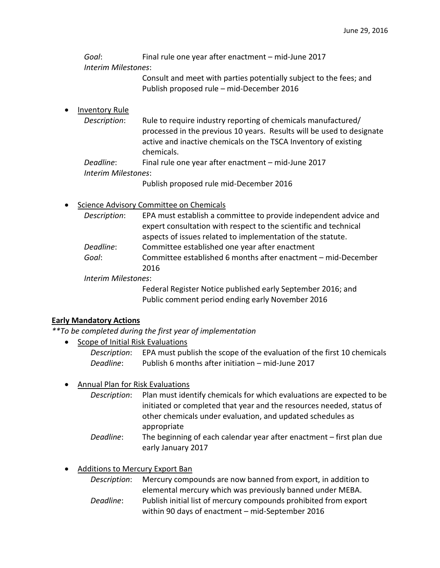*Goal*: Final rule one year after enactment – mid-June 2017 *Interim Milestones*:

> Consult and meet with parties potentially subject to the fees; and Publish proposed rule – mid-December 2016

#### **Inventory Rule**

*Description*: Rule to require industry reporting of chemicals manufactured/ processed in the previous 10 years. Results will be used to designate active and inactive chemicals on the TSCA Inventory of existing chemicals.

*Deadline*: Final rule one year after enactment – mid-June 2017

*Interim Milestones*:

Publish proposed rule mid-December 2016

## • Science Advisory Committee on Chemicals

| Description:               | EPA must establish a committee to provide independent advice and<br>expert consultation with respect to the scientific and technical<br>aspects of issues related to implementation of the statute. |
|----------------------------|-----------------------------------------------------------------------------------------------------------------------------------------------------------------------------------------------------|
| Deadline:                  | Committee established one year after enactment                                                                                                                                                      |
| Goal:                      | Committee established 6 months after enactment - mid-December                                                                                                                                       |
|                            | 2016                                                                                                                                                                                                |
| <b>Interim Milestones:</b> |                                                                                                                                                                                                     |

Federal Register Notice published early September 2016; and Public comment period ending early November 2016

#### **Early Mandatory Actions**

*\*\*To be completed during the first year of implementation*

early January 2017

- Scope of Initial Risk Evaluations
	- *Description*: EPA must publish the scope of the evaluation of the first 10 chemicals *Deadline*: Publish 6 months after initiation – mid-June 2017

#### • Annual Plan for Risk Evaluations

*Description*: Plan must identify chemicals for which evaluations are expected to be initiated or completed that year and the resources needed, status of other chemicals under evaluation, and updated schedules as appropriate *Deadline*: The beginning of each calendar year after enactment – first plan due

• Additions to Mercury Export Ban

*Description*: Mercury compounds are now banned from export, in addition to elemental mercury which was previously banned under MEBA. *Deadline*: Publish initial list of mercury compounds prohibited from export within 90 days of enactment – mid-September 2016